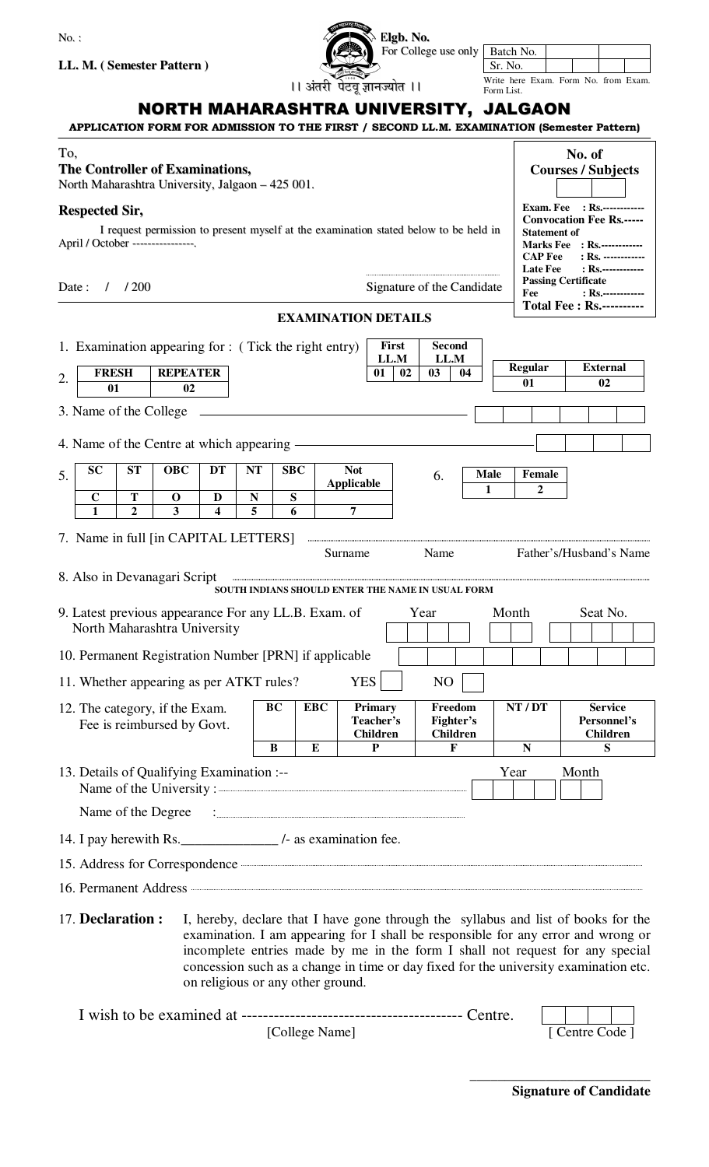| $No.$ :                                                                                                                            |                                                   | Elgb. No.                               |                                         |                                                                |                                                                                                                                                                         |  |  |
|------------------------------------------------------------------------------------------------------------------------------------|---------------------------------------------------|-----------------------------------------|-----------------------------------------|----------------------------------------------------------------|-------------------------------------------------------------------------------------------------------------------------------------------------------------------------|--|--|
|                                                                                                                                    |                                                   |                                         | For College use only Batch No.          | Sr. No.                                                        |                                                                                                                                                                         |  |  |
| LL. M. (Semester Pattern)                                                                                                          |                                                   | ।। अंतरी पेटवू ज्ञानज्योत ।।            |                                         |                                                                | Write here Exam. Form No. from Exam.                                                                                                                                    |  |  |
| NORTH MAHARASHTRA UNIVERSITY, JALGAON<br>APPLICATION FORM FOR ADMISSION TO THE FIRST / SECOND LL.M. EXAMINATION (Semester Pattern) |                                                   |                                         |                                         | Form List.                                                     |                                                                                                                                                                         |  |  |
| To,<br><b>The Controller of Examinations,</b><br>North Maharashtra University, Jalgaon - 425 001.                                  |                                                   |                                         |                                         |                                                                | No. of<br><b>Courses / Subjects</b>                                                                                                                                     |  |  |
| <b>Respected Sir,</b>                                                                                                              |                                                   |                                         |                                         |                                                                | <b>Exam. Fee</b> : Rs.------------<br><b>Convocation Fee Rs.-----</b>                                                                                                   |  |  |
| I request permission to present myself at the examination stated below to be held in<br>April / October ----------------.          |                                                   |                                         |                                         | <b>CAP Fee</b>                                                 | <b>Statement of</b><br><b>Marks Fee</b> : Rs.------------<br>: Rs. ------------<br>$:$ Rs.-------------                                                                 |  |  |
| /200<br>Signature of the Candidate<br>Date:<br>$\prime$                                                                            |                                                   |                                         |                                         | Fee                                                            | <b>Late Fee</b><br><b>Passing Certificate</b><br>$:$ Rs.-------------<br><b>Total Fee: Rs.----------</b>                                                                |  |  |
|                                                                                                                                    |                                                   | <b>EXAMINATION DETAILS</b>              |                                         |                                                                |                                                                                                                                                                         |  |  |
| 1. Examination appearing for : (Tick the right entry)                                                                              |                                                   | First<br>LL.M                           | <b>Second</b><br>LL.M                   |                                                                | <b>External</b>                                                                                                                                                         |  |  |
| <b>REPEATER</b><br><b>FRESH</b><br>2.<br>02<br>01                                                                                  |                                                   | 02<br>01                                | 03<br>04                                | <b>Regular</b><br>01                                           | 02                                                                                                                                                                      |  |  |
| 3. Name of the College                                                                                                             |                                                   |                                         |                                         |                                                                |                                                                                                                                                                         |  |  |
|                                                                                                                                    |                                                   |                                         |                                         |                                                                |                                                                                                                                                                         |  |  |
| 4. Name of the Centre at which appearing —                                                                                         |                                                   |                                         |                                         |                                                                |                                                                                                                                                                         |  |  |
| <b>SC</b><br><b>ST</b><br><b>OBC</b><br>DT<br>5.                                                                                   | <b>NT</b><br><b>SBC</b>                           | <b>Not</b><br><b>Applicable</b>         | 6.                                      | <b>Male</b><br><b>Female</b><br>$\overline{2}$<br>$\mathbf{1}$ |                                                                                                                                                                         |  |  |
| $\mathbf C$<br>T<br>D<br>$\mathbf 0$<br>$\mathbf{1}$<br>3<br>$\blacktriangle$<br>$\mathbf{2}$                                      | ${\bf S}$<br>N<br>5<br>6                          | 7                                       |                                         |                                                                |                                                                                                                                                                         |  |  |
| 7. Name in full [in CAPITAL LETTERS]                                                                                               |                                                   | Surname                                 | Name                                    |                                                                | Father's/Husband's Name                                                                                                                                                 |  |  |
| 8. Also in Devanagari Script                                                                                                       | SOUTH INDIANS SHOULD ENTER THE NAME IN USUAL FORM |                                         |                                         |                                                                |                                                                                                                                                                         |  |  |
| 9. Latest previous appearance For any LL.B. Exam. of                                                                               |                                                   |                                         | Year                                    | Month                                                          | Seat No.                                                                                                                                                                |  |  |
| North Maharashtra University                                                                                                       |                                                   |                                         |                                         |                                                                |                                                                                                                                                                         |  |  |
| 10. Permanent Registration Number [PRN] if applicable                                                                              |                                                   |                                         |                                         |                                                                |                                                                                                                                                                         |  |  |
| 11. Whether appearing as per ATKT rules?                                                                                           |                                                   | <b>YES</b>                              | N <sub>O</sub>                          |                                                                |                                                                                                                                                                         |  |  |
| 12. The category, if the Exam.<br>Fee is reimbursed by Govt.                                                                       | BC<br><b>EBC</b>                                  | Primary<br>Teacher's<br><b>Children</b> | Freedom<br>Fighter's<br><b>Children</b> | NT / DT                                                        | <b>Service</b><br>Personnel's<br>Children                                                                                                                               |  |  |
|                                                                                                                                    | B<br>E                                            | P                                       | F                                       | $\mathbf N$                                                    | S                                                                                                                                                                       |  |  |
| 13. Details of Qualifying Examination :--<br>Name of the University:                                                               |                                                   |                                         |                                         | Year                                                           | Month                                                                                                                                                                   |  |  |
| Name of the Degree                                                                                                                 |                                                   |                                         |                                         |                                                                |                                                                                                                                                                         |  |  |
| 14. I pay here with Rs.                                                                                                            |                                                   |                                         |                                         |                                                                |                                                                                                                                                                         |  |  |
| 15. Address for Correspondence <b>Communication</b>                                                                                |                                                   |                                         |                                         |                                                                |                                                                                                                                                                         |  |  |
|                                                                                                                                    |                                                   |                                         |                                         |                                                                |                                                                                                                                                                         |  |  |
| 17. Declaration:                                                                                                                   |                                                   |                                         |                                         |                                                                | I, hereby, declare that I have gone through the syllabus and list of books for the<br>examination. I am appearing for I shall be responsible for any error and wrong or |  |  |

| examination. I am appearing for I shall be responsible for any error and wrong or    |  |  |  |
|--------------------------------------------------------------------------------------|--|--|--|
| incomplete entries made by me in the form I shall not request for any special        |  |  |  |
| concession such as a change in time or day fixed for the university examination etc. |  |  |  |
| on religious or any other ground.                                                    |  |  |  |
|                                                                                      |  |  |  |

| [College Name] |  | [ Centre Code ] |
|----------------|--|-----------------|

**\_\_\_\_\_\_\_\_\_\_\_\_\_\_\_\_\_\_\_\_\_\_\_\_\_\_**